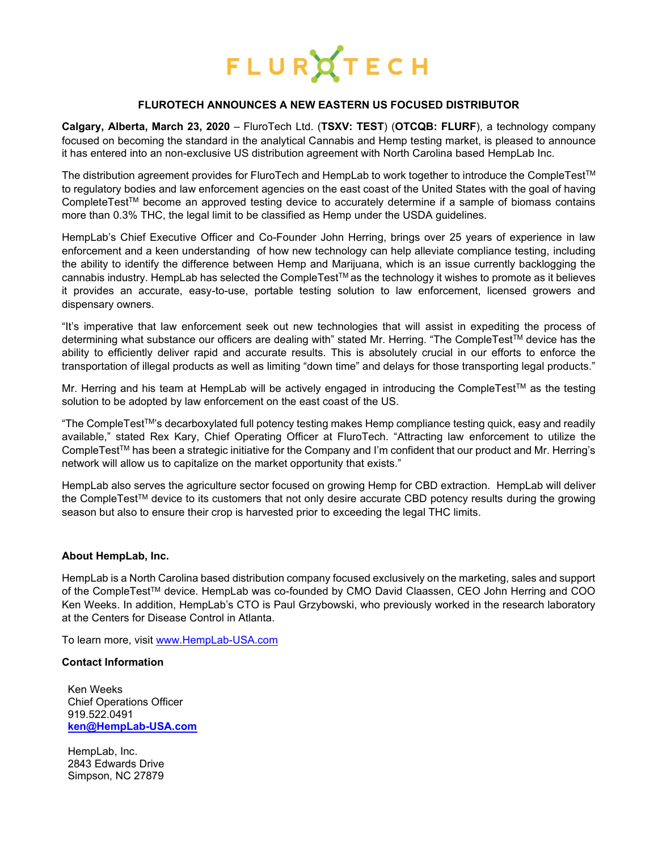

## **FLUROTECH ANNOUNCES A NEW EASTERN US FOCUSED DISTRIBUTOR**

**Calgary, Alberta, March 23, 2020** – [FluroTech Ltd. \(](https://flurotech.com/)**TSXV: [TEST](https://flurotech.com/investors/)**) (**OTCQB: [FLURF](https://www.otcmarkets.com/stock/FLURF/overview)**), a technology company focused on becoming the standard in the analytical Cannabis and Hemp testing market, is pleased to announce it has entered into an non-exclusive US distribution agreement with North Carolina based [HempLab](https://www.hemplab-usa.com/) Inc.

The distribution agreement provides for FluroTech and HempLab to work together to introduce the CompleTestTM to regulatory bodies and law enforcement agencies on the east coast of the United States with the goal of having CompleteTestTM become an approved testing device to accurately determine if a sample of biomass contains more than 0.3% THC, the legal limit to be classified as Hemp under the USDA guidelines.

HempLab's Chief Executive Officer and Co-Founder John Herring, brings over 25 years of experience in law enforcement and a keen understanding of how new technology can help alleviate compliance testing, including the ability to identify the difference between Hemp and Marijuana, which is an issue currently backlogging the cannabis industry. HempLab has selected the CompleTestTM as the technology it wishes to promote as it believes it provides an accurate, easy-to-use, portable testing solution to law enforcement, licensed growers and dispensary owners.

"It's imperative that law enforcement seek out new technologies that will assist in expediting the process of determining what substance our officers are dealing with" stated Mr. Herring. "The CompleTestTM device has the ability to efficiently deliver rapid and accurate results. This is absolutely crucial in our efforts to enforce the transportation of illegal products as well as limiting "down time" and delays for those transporting legal products."

Mr. Herring and his team at HempLab will be actively engaged in introducing the CompleTest™ as the testing solution to be adopted by law enforcement on the east coast of the US.

"The CompleTestTM's decarboxylated full potency testing makes Hemp compliance testing quick, easy and readily available," stated Rex Kary, Chief Operating Officer at FluroTech. "Attracting law enforcement to utilize the CompleTestTM has been a strategic initiative for the Company and I'm confident that our product and Mr. Herring's network will allow us to capitalize on the market opportunity that exists."

HempLab also serves the agriculture sector focused on growing Hemp for CBD extraction. HempLab will deliver the CompleTestTM device to its customers that not only desire accurate CBD potency results during the growing season but also to ensure their crop is harvested prior to exceeding the legal THC limits.

# **About HempLab, Inc.**

HempLab is a North Carolina based distribution company focused exclusively on the marketing, sales and support of the CompleTest™ device. HempLab was co-founded by CMO David Claassen, CEO John Herring and COO Ken Weeks. In addition, HempLab's CTO is Paul Grzybowski, who previously worked in the research laboratory at the Centers for Disease Control in Atlanta.

To learn more, visit [www.HempLab-USA.com](http://www.hemplab-usa.com/)

#### **Contact Information**

Ken Weeks Chief Operations Officer 919.522.0491 **[ken@HempLab-USA.com](mailto:ken@HempLab-USA.com)**

HempLab, Inc. 2843 Edwards Drive Simpson, NC 27879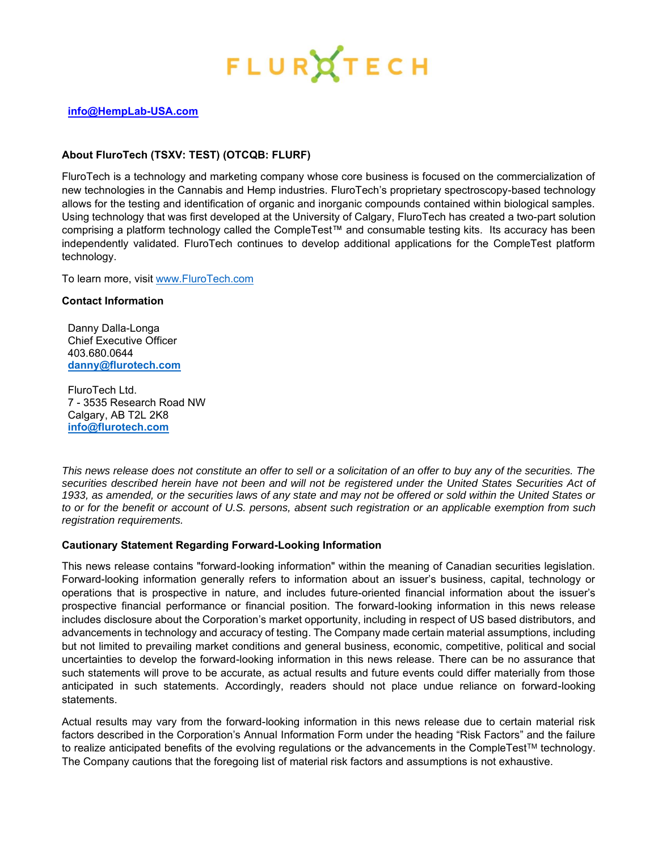

# **[info@HempLab-USA.com](mailto:info@HempLab-USA.com)**

# **About [FluroTech](http://flurotech.com/) (TSXV: [TEST\)](https://flurotech.com/investors/) (OTCQB: [FLURF\)](https://www.otcmarkets.com/stock/FLURF/overview)**

[FluroTech](http://flurotech.com/) is a technology and marketing company whose core business is focused on the commercialization of new technologies in the Cannabis and Hemp industries. [FluroTech](http://flurotech.com/)'s proprietary spectroscopy-based technology allows for the testing and identification of organic and inorganic compounds contained within biological samples. Using technology that was first developed at the University of Calgary, [FluroTech](http://flurotech.com/) has created a two-part solution comprising a platform technology called the [CompleTest](http://flurotech.com/completest/)™ and consumable testing kits. Its accuracy has been independently validated. FluroTech continues to develop additional applications for the CompleTest platform technology.

To learn more, visit [www.FluroTech.com](http://www.flurotech.com/)

## **Contact Information**

Danny Dalla-Longa Chief Executive Officer 403.680.0644 **[danny@flurotech.com](mailto:danny@flurotech.com)**

FluroTech Ltd. 7 - 3535 Research Road NW Calgary, AB T2L 2K8 **[info@flurotech.com](mailto:info@flurotech.com)**

*This news release does not constitute an offer to sell or a solicitation of an offer to buy any of the securities. The*  securities described herein have not been and will not be registered under the United States Securities Act of *1933, as amended, or the securities laws of any state and may not be offered or sold within the United States or to or for the benefit or account of U.S. persons, absent such registration or an applicable exemption from such registration requirements.*

# **Cautionary Statement Regarding Forward-Looking Information**

This news release contains "forward-looking information" within the meaning of Canadian securities legislation. Forward-looking information generally refers to information about an issuer's business, capital, technology or operations that is prospective in nature, and includes future-oriented financial information about the issuer's prospective financial performance or financial position. The forward-looking information in this news release includes disclosure about the Corporation's market opportunity, including in respect of US based distributors, and advancements in technology and accuracy of testing. The Company made certain material assumptions, including but not limited to prevailing market conditions and general business, economic, competitive, political and social uncertainties to develop the forward-looking information in this news release. There can be no assurance that such statements will prove to be accurate, as actual results and future events could differ materially from those anticipated in such statements. Accordingly, readers should not place undue reliance on forward-looking statements.

Actual results may vary from the forward-looking information in this news release due to certain material risk factors described in the Corporation's Annual Information Form under the heading "Risk Factors" and the failure to realize anticipated benefits of the evolving regulations or the advancements in the CompleTest™ technology. The Company cautions that the foregoing list of material risk factors and assumptions is not exhaustive.